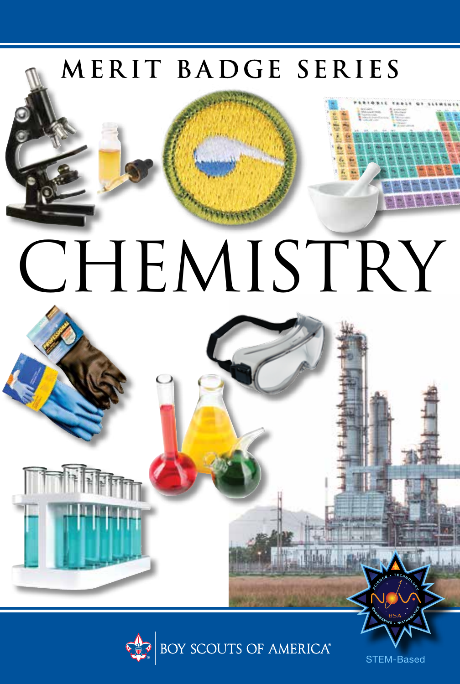## MERIT BADGE SERIES

# CHEMISTRY بازار براجي



STEM-Based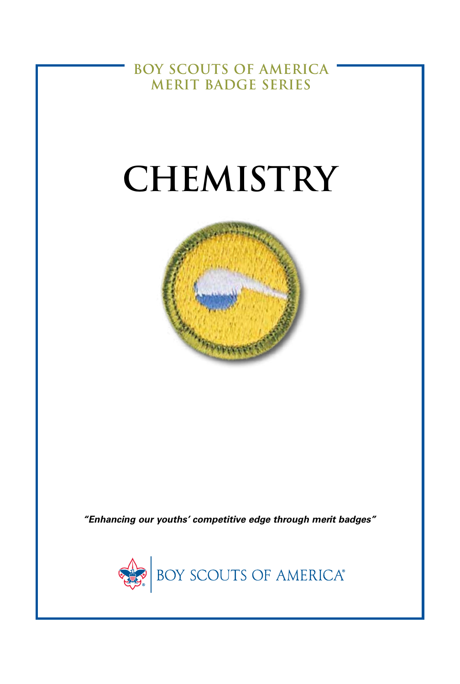**BOY SCOUTS OF AMERICA MERIT BADGE SERIES**

# **CHEMISTRY**



*"Enhancing our youths' competitive edge through merit badges"*

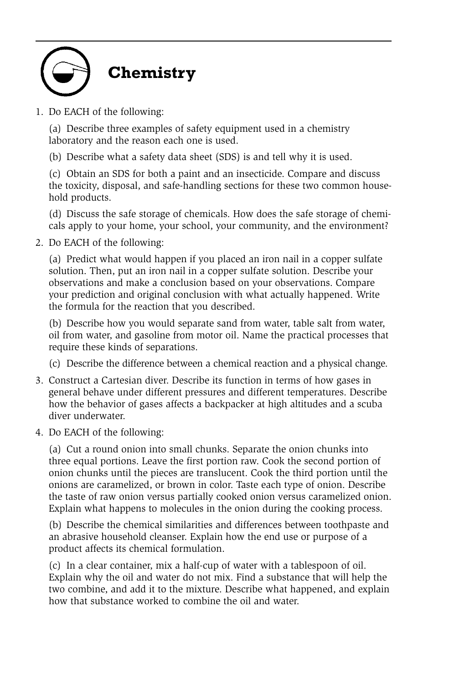

1. Do EACH of the following:

(a) Describe three examples of safety equipment used in a chemistry laboratory and the reason each one is used.

(b) Describe what a safety data sheet (SDS) is and tell why it is used.

(c) Obtain an SDS for both a paint and an insecticide. Compare and discuss the toxicity, disposal, and safe-handling sections for these two common household products.

(d) Discuss the safe storage of chemicals. How does the safe storage of chemicals apply to your home, your school, your community, and the environment?

2. Do EACH of the following:

(a) Predict what would happen if you placed an iron nail in a copper sulfate solution. Then, put an iron nail in a copper sulfate solution. Describe your observations and make a conclusion based on your observations. Compare your prediction and original conclusion with what actually happened. Write the formula for the reaction that you described.

(b) Describe how you would separate sand from water, table salt from water, oil from water, and gasoline from motor oil. Name the practical processes that require these kinds of separations.

- (c) Describe the difference between a chemical reaction and a physical change.
- 3. Construct a Cartesian diver. Describe its function in terms of how gases in general behave under different pressures and different temperatures. Describe how the behavior of gases affects a backpacker at high altitudes and a scuba diver underwater.
- 4. Do EACH of the following:

(a) Cut a round onion into small chunks. Separate the onion chunks into three equal portions. Leave the first portion raw. Cook the second portion of onion chunks until the pieces are translucent. Cook the third portion until the onions are caramelized, or brown in color. Taste each type of onion. Describe the taste of raw onion versus partially cooked onion versus caramelized onion. Explain what happens to molecules in the onion during the cooking process.

(b) Describe the chemical similarities and differences between toothpaste and an abrasive household cleanser. Explain how the end use or purpose of a product affects its chemical formulation.

(c) In a clear container, mix a half-cup of water with a tablespoon of oil. Explain why the oil and water do not mix. Find a substance that will help the two combine, and add it to the mixture. Describe what happened, and explain how that substance worked to combine the oil and water.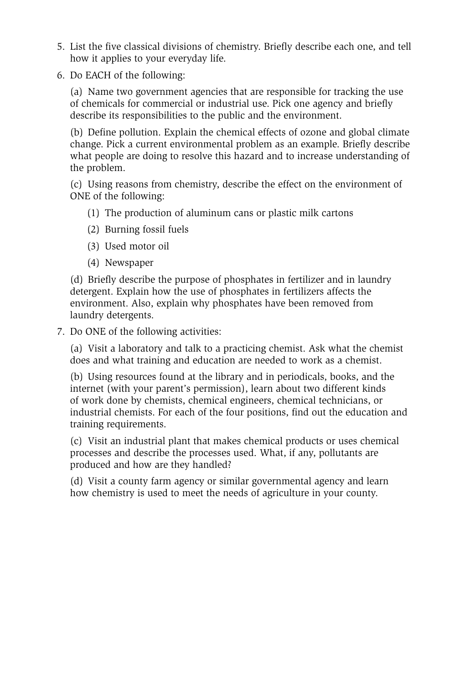- 5. List the five classical divisions of chemistry. Briefly describe each one, and tell how it applies to your everyday life.
- 6. Do EACH of the following:

(a) Name two government agencies that are responsible for tracking the use of chemicals for commercial or industrial use. Pick one agency and briefly describe its responsibilities to the public and the environment.

(b) Define pollution. Explain the chemical effects of ozone and global climate change. Pick a current environmental problem as an example. Briefly describe what people are doing to resolve this hazard and to increase understanding of the problem.

(c) Using reasons from chemistry, describe the effect on the environment of ONE of the following:

- (1) The production of aluminum cans or plastic milk cartons
- (2) Burning fossil fuels
- (3) Used motor oil
- (4) Newspaper

(d) Briefly describe the purpose of phosphates in fertilizer and in laundry detergent. Explain how the use of phosphates in fertilizers affects the environment. Also, explain why phosphates have been removed from laundry detergents.

7. Do ONE of the following activities:

(a) Visit a laboratory and talk to a practicing chemist. Ask what the chemist does and what training and education are needed to work as a chemist.

(b) Using resources found at the library and in periodicals, books, and the internet (with your parent's permission), learn about two different kinds of work done by chemists, chemical engineers, chemical technicians, or industrial chemists. For each of the four positions, find out the education and training requirements.

(c) Visit an industrial plant that makes chemical products or uses chemical processes and describe the processes used. What, if any, pollutants are produced and how are they handled?

(d) Visit a county farm agency or similar governmental agency and learn how chemistry is used to meet the needs of agriculture in your county.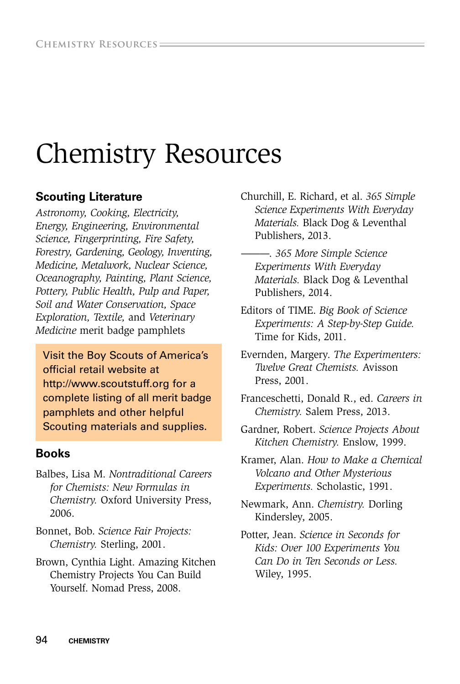# Chemistry Resources

### **Scouting Literature**

*Astronomy, Cooking, Electricity, Energy, Engineering, Environmental Science, Fingerprinting, Fire Safety, Forestry, Gardening, Geology, Inventing, Medicine, Metalwork, Nuclear Science, Oceanography, Painting, Plant Science, Pottery, Public Health, Pulp and Paper, Soil and Water Conservation, Space Exploration, Textile,* and *Veterinary Medicine* merit badge pamphlets

Visit the Boy Scouts of America's official retail website at http://www.scoutstuff.org for a complete listing of all merit badge pamphlets and other helpful Scouting materials and supplies.

### **Books**

- Balbes, Lisa M. *Nontraditional Careers for Chemists: New Formulas in Chemistry.* Oxford University Press, 2006.
- Bonnet, Bob. *Science Fair Projects: Chemistry.* Sterling, 2001.
- Brown, Cynthia Light. Amazing Kitchen Chemistry Projects You Can Build Yourself. Nomad Press, 2008.
- Churchill, E. Richard, et al. *365 Simple Science Experiments With Everyday Materials.* Black Dog & Leventhal Publishers, 2013.
	- ———. *365 More Simple Science Experiments With Everyday Materials.* Black Dog & Leventhal Publishers, 2014.
- Editors of TIME. *Big Book of Science Experiments: A Step-by-Step Guide.* Time for Kids, 2011.
- Evernden, Margery. *The Experimenters: Twelve Great Chemists.* Avisson Press, 2001.
- Franceschetti, Donald R., ed. *Careers in Chemistry.* Salem Press, 2013.
- Gardner, Robert. *Science Projects About Kitchen Chemistry.* Enslow, 1999.
- Kramer, Alan. *How to Make a Chemical Volcano and Other Mysterious Experiments.* Scholastic, 1991.
- Newmark, Ann. *Chemistry.* Dorling Kindersley, 2005.
- Potter, Jean. *Science in Seconds for Kids: Over 100 Experiments You Can Do in Ten Seconds or Less.* Wiley, 1995.